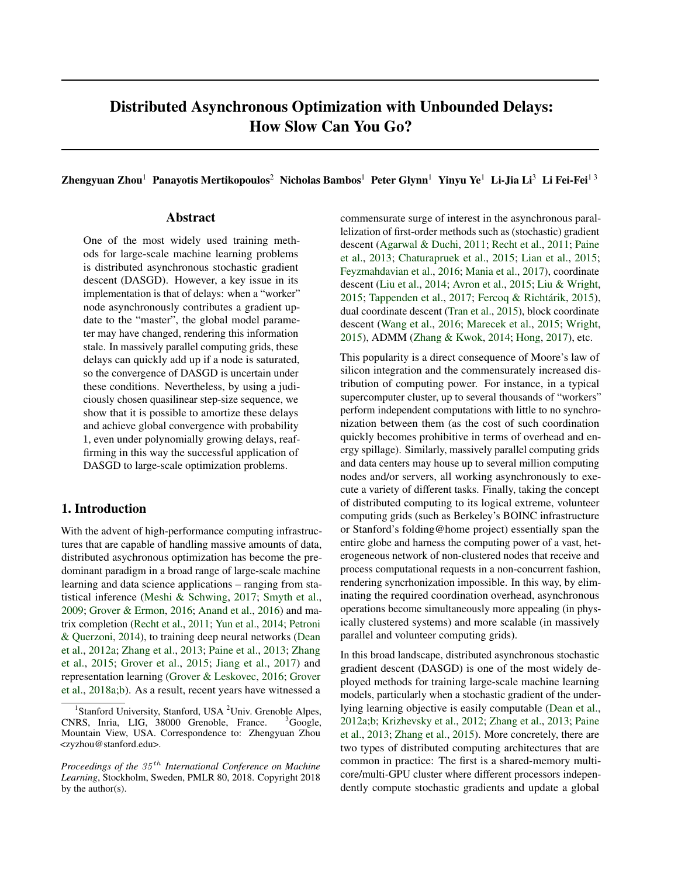# Distributed Asynchronous Optimization with Unbounded Delays: How Slow Can You Go?

Zhengyuan Zhou<sup>1</sup> Panayotis Mertikopoulos<sup>2</sup> Nicholas Bambos<sup>1</sup> Peter Glynn<sup>1</sup> Yinyu Ye<sup>1</sup> Li-Jia Li<sup>3</sup> Li Fei-Fei<sup>13</sup>

## Abstract

One of the most widely used training methods for large-scale machine learning problems is distributed asynchronous stochastic gradient descent (DASGD). However, a key issue in its implementation is that of delays: when a "worker" node asynchronously contributes a gradient update to the "master", the global model parameter may have changed, rendering this information stale. In massively parallel computing grids, these delays can quickly add up if a node is saturated, so the convergence of DASGD is uncertain under these conditions. Nevertheless, by using a judiciously chosen quasilinear step-size sequence, we show that it is possible to amortize these delays and achieve global convergence with probability 1, even under polynomially growing delays, reaffirming in this way the successful application of DASGD to large-scale optimization problems.

# 1. Introduction

With the advent of high-performance computing infrastructures that are capable of handling massive amounts of data, distributed asychronous optimization has become the predominant paradigm in a broad range of large-scale machine learning and data science applications – ranging from statistical inference [\(Meshi & Schwing,](#page-8-0) [2017;](#page-8-0) [Smyth et al.,](#page-9-0) [2009;](#page-9-0) [Grover & Ermon,](#page-8-0) [2016;](#page-8-0) [Anand et al.,](#page-8-0) [2016\)](#page-8-0) and matrix completion [\(Recht et al.,](#page-9-0) [2011;](#page-9-0) [Yun et al.,](#page-9-0) [2014;](#page-9-0) [Petroni](#page-9-0) [& Querzoni,](#page-9-0) [2014\)](#page-9-0), to training deep neural networks [\(Dean](#page-8-0) [et al.,](#page-8-0) [2012a;](#page-8-0) [Zhang et al.,](#page-9-0) [2013;](#page-9-0) [Paine et al.,](#page-9-0) [2013;](#page-9-0) [Zhang](#page-9-0) [et al.,](#page-9-0) [2015;](#page-9-0) [Grover et al.,](#page-8-0) [2015;](#page-8-0) [Jiang et al.,](#page-8-0) [2017\)](#page-8-0) and representation learning [\(Grover & Leskovec,](#page-8-0) [2016;](#page-8-0) [Grover](#page-8-0) [et al.,](#page-8-0) [2018a;b\)](#page-8-0). As a result, recent years have witnessed a

commensurate surge of interest in the asynchronous parallelization of first-order methods such as (stochastic) gradient descent [\(Agarwal & Duchi,](#page-8-0) [2011;](#page-8-0) [Recht et al.,](#page-9-0) [2011;](#page-9-0) [Paine](#page-9-0) [et al.,](#page-9-0) [2013;](#page-9-0) [Chaturapruek et al.,](#page-8-0) [2015;](#page-8-0) [Lian et al.,](#page-8-0) [2015;](#page-8-0) [Feyzmahdavian et al.,](#page-8-0) [2016;](#page-8-0) [Mania et al.,](#page-8-0) [2017\)](#page-8-0), coordinate descent [\(Liu et al.,](#page-8-0) [2014;](#page-8-0) [Avron et al.,](#page-8-0) [2015;](#page-8-0) [Liu & Wright,](#page-8-0) [2015;](#page-8-0) [Tappenden et al.,](#page-9-0) [2017;](#page-9-0) [Fercoq & Richtárik,](#page-8-0) [2015\)](#page-8-0), dual coordinate descent [\(Tran et al.,](#page-9-0) [2015\)](#page-9-0), block coordinate descent [\(Wang et al.,](#page-9-0) [2016;](#page-9-0) [Marecek et al.,](#page-8-0) [2015;](#page-8-0) [Wright,](#page-9-0) [2015\)](#page-9-0), ADMM [\(Zhang & Kwok,](#page-9-0) [2014;](#page-9-0) [Hong,](#page-8-0) [2017\)](#page-8-0), etc.

This popularity is a direct consequence of Moore's law of silicon integration and the commensurately increased distribution of computing power. For instance, in a typical supercomputer cluster, up to several thousands of "workers" perform independent computations with little to no synchronization between them (as the cost of such coordination quickly becomes prohibitive in terms of overhead and energy spillage). Similarly, massively parallel computing grids and data centers may house up to several million computing nodes and/or servers, all working asynchronously to execute a variety of different tasks. Finally, taking the concept of distributed computing to its logical extreme, volunteer computing grids (such as Berkeley's BOINC infrastructure or Stanford's folding@home project) essentially span the entire globe and harness the computing power of a vast, heterogeneous network of non-clustered nodes that receive and process computational requests in a non-concurrent fashion, rendering syncrhonization impossible. In this way, by eliminating the required coordination overhead, asynchronous operations become simultaneously more appealing (in physically clustered systems) and more scalable (in massively parallel and volunteer computing grids).

In this broad landscape, distributed asynchronous stochastic gradient descent (DASGD) is one of the most widely deployed methods for training large-scale machine learning models, particularly when a stochastic gradient of the underlying learning objective is easily computable [\(Dean et al.,](#page-8-0) [2012a;b;](#page-8-0) [Krizhevsky et al.,](#page-8-0) [2012;](#page-8-0) [Zhang et al.,](#page-9-0) [2013;](#page-9-0) [Paine](#page-9-0) [et al.,](#page-9-0) [2013;](#page-9-0) [Zhang et al.,](#page-9-0) [2015\)](#page-9-0). More concretely, there are two types of distributed computing architectures that are common in practice: The first is a shared-memory multicore/multi-GPU cluster where different processors independently compute stochastic gradients and update a global

<sup>&</sup>lt;sup>1</sup>Stanford University, Stanford, USA <sup>2</sup>Univ. Grenoble Alpes, CNRS, Inria, LIG, 38000 Grenoble, France. <sup>3</sup>Google, Mountain View, USA. Correspondence to: Zhengyuan Zhou <zyzhou@stanford.edu>.

*Proceedings of the* 35 th *International Conference on Machine Learning*, Stockholm, Sweden, PMLR 80, 2018. Copyright 2018 by the author(s).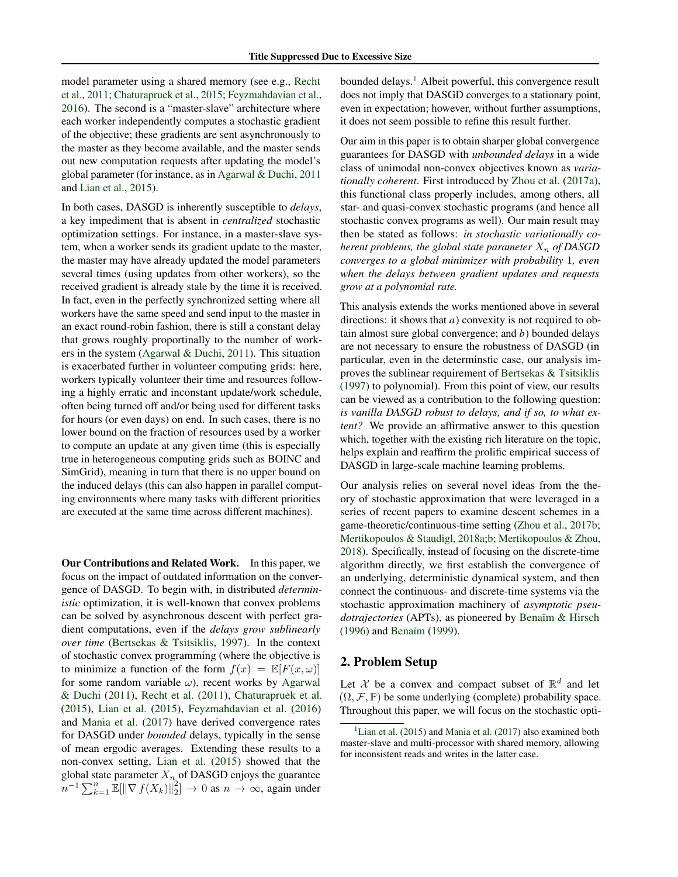model parameter using a shared memory (see e.g., [Recht](#page-9-0) [et al.,](#page-9-0) [2011;](#page-9-0) [Chaturapruek et al.,](#page-8-0) [2015;](#page-8-0) [Feyzmahdavian et al.,](#page-8-0) [2016\)](#page-8-0). The second is a "master-slave" architecture where each worker independently computes a stochastic gradient of the objective; these gradients are sent asynchronously to the master as they become available, and the master sends out new computation requests after updating the model's global parameter (for instance, as in [Agarwal & Duchi,](#page-8-0) [2011](#page-8-0) and [Lian et al.,](#page-8-0) [2015\)](#page-8-0).

In both cases, DASGD is inherently susceptible to *delays*, a key impediment that is absent in *centralized* stochastic optimization settings. For instance, in a master-slave system, when a worker sends its gradient update to the master, the master may have already updated the model parameters several times (using updates from other workers), so the received gradient is already stale by the time it is received. In fact, even in the perfectly synchronized setting where all workers have the same speed and send input to the master in an exact round-robin fashion, there is still a constant delay that grows roughly proportinally to the number of workers in the system [\(Agarwal & Duchi,](#page-8-0) [2011\)](#page-8-0). This situation is exacerbated further in volunteer computing grids: here, workers typically volunteer their time and resources following a highly erratic and inconstant update/work schedule, often being turned off and/or being used for different tasks for hours (or even days) on end. In such cases, there is no lower bound on the fraction of resources used by a worker to compute an update at any given time (this is especially true in heterogeneous computing grids such as BOINC and SimGrid), meaning in turn that there is no upper bound on the induced delays (this can also happen in parallel computing environments where many tasks with different priorities are executed at the same time across different machines).

Our Contributions and Related Work. In this paper, we focus on the impact of outdated information on the convergence of DASGD. To begin with, in distributed *deterministic* optimization, it is well-known that convex problems can be solved by asynchronous descent with perfect gradient computations, even if the *delays grow sublinearly over time* [\(Bertsekas & Tsitsiklis,](#page-8-0) [1997\)](#page-8-0). In the context of stochastic convex programming (where the objective is to minimize a function of the form  $f(x) = \mathbb{E}[F(x, \omega)]$ for some random variable  $\omega$ ), recent works by [Agarwal](#page-8-0) [& Duchi](#page-8-0) [\(2011\)](#page-8-0), [Recht et al.](#page-9-0) [\(2011\)](#page-9-0), [Chaturapruek et al.](#page-8-0) [\(2015\)](#page-8-0), [Lian et al.](#page-8-0) [\(2015\)](#page-8-0), [Feyzmahdavian et al.](#page-8-0) [\(2016\)](#page-8-0) and [Mania et al.](#page-8-0) [\(2017\)](#page-8-0) have derived convergence rates for DASGD under *bounded* delays, typically in the sense of mean ergodic averages. Extending these results to a non-convex setting, [Lian et al.](#page-8-0) [\(2015\)](#page-8-0) showed that the global state parameter  $X_n$  of DASGD enjoys the guarantee  $\overline{n}^{-1} \sum_{k=1}^{n} \mathbb{E}[\|\nabla f(X_k)\|_2^2] \to 0$  as  $n \to \infty$ , again under

bounded delays.<sup>1</sup> Albeit powerful, this convergence result does not imply that DASGD converges to a stationary point, even in expectation; however, without further assumptions, it does not seem possible to refine this result further.

Our aim in this paper is to obtain sharper global convergence guarantees for DASGD with *unbounded delays* in a wide class of unimodal non-convex objectives known as *variationally coherent*. First introduced by [Zhou et al.](#page-9-0) [\(2017a\)](#page-9-0), this functional class properly includes, among others, all star- and quasi-convex stochastic programs (and hence all stochastic convex programs as well). Our main result may then be stated as follows: *in stochastic variationally coherent problems, the global state parameter*  $X_n$  *of DASGD converges to a global minimizer with probability* 1*, even when the delays between gradient updates and requests grow at a polynomial rate.*

This analysis extends the works mentioned above in several directions: it shows that *a*) convexity is not required to obtain almost sure global convergence; and *b*) bounded delays are not necessary to ensure the robustness of DASGD (in particular, even in the determinstic case, our analysis improves the sublinear requirement of [Bertsekas & Tsitsiklis](#page-8-0) [\(1997\)](#page-8-0) to polynomial). From this point of view, our results can be viewed as a contribution to the following question: *is vanilla DASGD robust to delays, and if so, to what extent?* We provide an affirmative answer to this question which, together with the existing rich literature on the topic, helps explain and reaffirm the prolific empirical success of DASGD in large-scale machine learning problems.

Our analysis relies on several novel ideas from the theory of stochastic approximation that were leveraged in a series of recent papers to examine descent schemes in a game-theoretic/continuous-time setting [\(Zhou et al.,](#page-9-0) [2017b;](#page-9-0) [Mertikopoulos & Staudigl,](#page-8-0) [2018a;b;](#page-8-0) [Mertikopoulos & Zhou,](#page-8-0) [2018\)](#page-8-0). Specifically, instead of focusing on the discrete-time algorithm directly, we first establish the convergence of an underlying, deterministic dynamical system, and then connect the continuous- and discrete-time systems via the stochastic approximation machinery of *asymptotic pseudotrajectories* (APTs), as pioneered by [Benaïm & Hirsch](#page-8-0) [\(1996\)](#page-8-0) and [Benaïm](#page-8-0) [\(1999\)](#page-8-0).

# 2. Problem Setup

Let X be a convex and compact subset of  $\mathbb{R}^d$  and let  $(\Omega, \mathcal{F}, \mathbb{P})$  be some underlying (complete) probability space. Throughout this paper, we will focus on the stochastic opti-

 $<sup>1</sup>$ [Lian et al.](#page-8-0) [\(2015\)](#page-8-0) and [Mania et al.](#page-8-0) [\(2017\)](#page-8-0) also examined both</sup> master-slave and multi-processor with shared memory, allowing for inconsistent reads and writes in the latter case.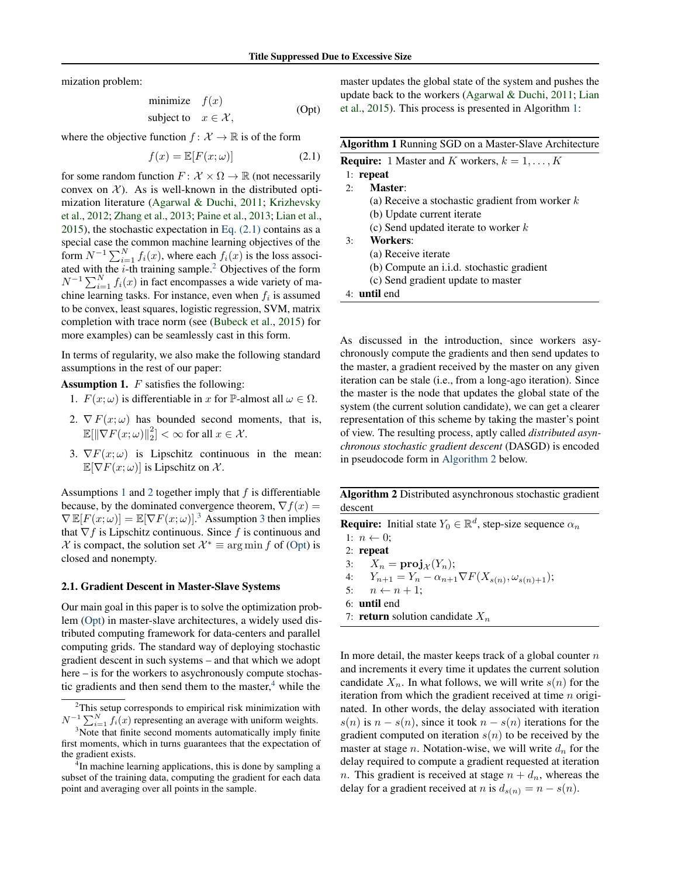<span id="page-2-0"></span>mization problem:

minimize 
$$
f(x)
$$
  
subject to  $x \in \mathcal{X}$ , (Opt)

where the objective function  $f: \mathcal{X} \to \mathbb{R}$  is of the form

$$
f(x) = \mathbb{E}[F(x; \omega)] \tag{2.1}
$$

for some random function  $F: \mathcal{X} \times \Omega \to \mathbb{R}$  (not necessarily convex on  $\mathcal{X}$ ). As is well-known in the distributed optimization literature [\(Agarwal & Duchi,](#page-8-0) [2011;](#page-8-0) [Krizhevsky](#page-8-0) [et al.,](#page-8-0) [2012;](#page-8-0) [Zhang et al.,](#page-9-0) [2013;](#page-9-0) [Paine et al.,](#page-9-0) [2013;](#page-9-0) [Lian et al.,](#page-8-0) [2015\)](#page-8-0), the stochastic expectation in Eq.  $(2.1)$  contains as a special case the common machine learning objectives of the form  $N^{-1} \sum_{i=1}^{N} f_i(x)$ , where each  $f_i(x)$  is the loss associated with the  $i$ -th training sample.<sup>2</sup> Objectives of the form  $N^{-1} \sum_{i=1}^{N} f_i(x)$  in fact encompasses a wide variety of machine learning tasks. For instance, even when  $f_i$  is assumed to be convex, least squares, logistic regression, SVM, matrix completion with trace norm (see [\(Bubeck et al.,](#page-8-0) [2015\)](#page-8-0) for more examples) can be seamlessly cast in this form.

In terms of regularity, we also make the following standard assumptions in the rest of our paper:

**Assumption 1.**  $F$  satisfies the following:

- 1.  $F(x; \omega)$  is differentiable in x for P-almost all  $\omega \in \Omega$ .
- 2.  $\nabla F(x; \omega)$  has bounded second moments, that is,  $\mathbb{E}[\|\nabla F(x;\omega)\|_2^2]<\infty$  for all  $x\in\mathcal{X}$ .
- 3.  $\nabla F(x; \omega)$  is Lipschitz continuous in the mean:  $\mathbb{E}[\nabla F(x;\omega)]$  is Lipschitz on X.

Assumptions 1 and 2 together imply that  $f$  is differentiable because, by the dominated convergence theorem,  $\nabla f(x) =$  $\nabla \mathbb{E}[F(x; \omega)] = \mathbb{E}[\nabla F(x; \omega)]^3$  Assumption 3 then implies that  $\nabla f$  is Lipschitz continuous. Since f is continuous and  $\mathcal{X}$  is compact, the solution set  $\mathcal{X}^* \equiv \arg \min f$  of (Opt) is closed and nonempty.

#### 2.1. Gradient Descent in Master-Slave Systems

Our main goal in this paper is to solve the optimization problem (Opt) in master-slave architectures, a widely used distributed computing framework for data-centers and parallel computing grids. The standard way of deploying stochastic gradient descent in such systems – and that which we adopt here – is for the workers to asychronously compute stochastic gradients and then send them to the master, $4$  while the

master updates the global state of the system and pushes the update back to the workers [\(Agarwal & Duchi,](#page-8-0) [2011;](#page-8-0) [Lian](#page-8-0) [et al.,](#page-8-0) [2015\)](#page-8-0). This process is presented in Algorithm 1:

| <b>Algorithm 1</b> Running SGD on a Master-Slave Architecture |
|---------------------------------------------------------------|
| <b>Require:</b> 1 Master and K workers, $k = 1, , K$          |
| $1:$ repeat                                                   |
| Master:<br>2:                                                 |
| (a) Receive a stochastic gradient from worker $k$             |
| (b) Update current iterate                                    |
| (c) Send updated iterate to worker $k$                        |
| Workers:<br>3:                                                |
| (a) Receive iterate                                           |
| (b) Compute an <i>i.i.d.</i> stochastic gradient              |
| (c) Send gradient update to master                            |
| $4:$ <b>until</b> end                                         |

As discussed in the introduction, since workers asychronously compute the gradients and then send updates to the master, a gradient received by the master on any given iteration can be stale (i.e., from a long-ago iteration). Since the master is the node that updates the global state of the system (the current solution candidate), we can get a clearer representation of this scheme by taking the master's point of view. The resulting process, aptly called *distributed asynchronous stochastic gradient descent* (DASGD) is encoded in pseudocode form in Algorithm 2 below.

Algorithm 2 Distributed asynchronous stochastic gradient descent

**Require:** Initial state  $Y_0 \in \mathbb{R}^d$ , step-size sequence  $\alpha_n$ 

1:  $n \leftarrow 0$ ;

2: repeat

3:  $X_n = \text{proj}_{\mathcal{X}}(Y_n);$ 4:  $Y_{n+1} = Y_n - \alpha_{n+1} \nabla F(X_{s(n)}, \omega_{s(n)+1});$ 

5:  $n \leftarrow n + 1$ ; 6: until end

7: **return** solution candidate  $X_n$ 

In more detail, the master keeps track of a global counter  $n$ and increments it every time it updates the current solution candidate  $X_n$ . In what follows, we will write  $s(n)$  for the iteration from which the gradient received at time  $n$  originated. In other words, the delay associated with iteration  $s(n)$  is  $n - s(n)$ , since it took  $n - s(n)$  iterations for the gradient computed on iteration  $s(n)$  to be received by the master at stage *n*. Notation-wise, we will write  $d_n$  for the delay required to compute a gradient requested at iteration n. This gradient is received at stage  $n + d_n$ , whereas the delay for a gradient received at n is  $d_{s(n)} = n - s(n)$ .

 $2$ This setup corresponds to empirical risk minimization with  $N^{-1} \sum_{i=1}^{N} f_i(x)$  representing an average with uniform weights.

<sup>&</sup>lt;sup>3</sup>Note that finite second moments automatically imply finite first moments, which in turns guarantees that the expectation of the gradient exists.

<sup>&</sup>lt;sup>4</sup>In machine learning applications, this is done by sampling a subset of the training data, computing the gradient for each data point and averaging over all points in the sample.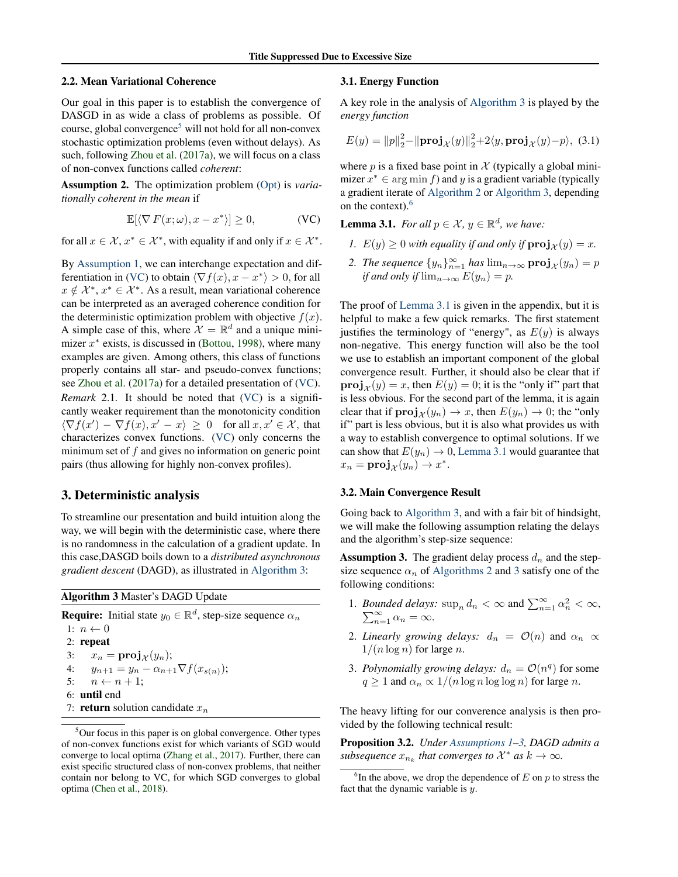### <span id="page-3-0"></span>2.2. Mean Variational Coherence

Our goal in this paper is to establish the convergence of DASGD in as wide a class of problems as possible. Of course, global convergence<sup>5</sup> will not hold for all non-convex stochastic optimization problems (even without delays). As such, following [Zhou et al.](#page-9-0) [\(2017a\)](#page-9-0), we will focus on a class of non-convex functions called *coherent*:

Assumption 2. The optimization problem [\(Opt\)](#page-2-0) is *variationally coherent in the mean* if

$$
\mathbb{E}[\langle \nabla F(x;\omega), x - x^* \rangle] \ge 0,
$$
 (VC)

for all  $x \in \mathcal{X}, x^* \in \mathcal{X}^*$ , with equality if and only if  $x \in \mathcal{X}^*$ .

By [Assumption 1,](#page-2-0) we can interchange expectation and differentiation in (VC) to obtain  $\langle \nabla f(x), x - x^* \rangle > 0$ , for all  $x \notin \mathcal{X}^*, x^* \in \mathcal{X}^*$ . As a result, mean variational coherence can be interpreted as an averaged coherence condition for the deterministic optimization problem with objective  $f(x)$ . A simple case of this, where  $\mathcal{X} = \mathbb{R}^d$  and a unique minimizer  $x^*$  exists, is discussed in [\(Bottou,](#page-8-0) [1998\)](#page-8-0), where many examples are given. Among others, this class of functions properly contains all star- and pseudo-convex functions; see [Zhou et al.](#page-9-0) [\(2017a\)](#page-9-0) for a detailed presentation of (VC). *Remark* 2.1*.* It should be noted that (VC) is a significantly weaker requirement than the monotonicity condition  $\langle \nabla f(x') - \nabla f(x), x' - x \rangle \geq 0$  for all  $x, x' \in \mathcal{X}$ , that characterizes convex functions. (VC) only concerns the minimum set of  $f$  and gives no information on generic point pairs (thus allowing for highly non-convex profiles).

## 3. Deterministic analysis

To streamline our presentation and build intuition along the way, we will begin with the deterministic case, where there is no randomness in the calculation of a gradient update. In this case,DASGD boils down to a *distributed asynchronous gradient descent* (DAGD), as illustrated in Algorithm 3:

Algorithm 3 Master's DAGD Update

**Require:** Initial state  $y_0 \in \mathbb{R}^d$ , step-size sequence  $\alpha_n$ 1:  $n \leftarrow 0$ 2: repeat 3:  $x_n = \mathbf{proj}_{\mathcal{X}}(y_n);$ 4:  $y_{n+1} = y_n - \alpha_{n+1} \nabla f(x_{s(n)})$ ; 5:  $n \leftarrow n + 1$ ; 6: until end 7: return solution candidate  $x_n$ 

### 3.1. Energy Function

A key role in the analysis of Algorithm 3 is played by the *energy function*

$$
E(y) = ||p||_2^2 - ||\mathbf{proj}_{\mathcal{X}}(y)||_2^2 + 2\langle y, \mathbf{proj}_{\mathcal{X}}(y) - p \rangle, (3.1)
$$

where p is a fixed base point in  $\mathcal X$  (typically a global minimizer  $x^* \in \arg \min f$  and y is a gradient variable (typically a gradient iterate of [Algorithm 2](#page-2-0) or Algorithm 3, depending on the context).<sup>6</sup>

**Lemma 3.1.** *For all*  $p \in \mathcal{X}$ ,  $y \in \mathbb{R}^d$ , we have:

- *1.*  $E(y) \ge 0$  *with equality if and only if*  $proj_{\mathcal{X}}(y) = x$ *.*
- 2. *The sequence*  $\{y_n\}_{n=1}^{\infty}$  *has*  $\lim_{n\to\infty}$   $\text{proj}_{\mathcal{X}}(y_n) = p$ *if and only if*  $\lim_{n\to\infty} E(y_n) = p$ .

The proof of Lemma 3.1 is given in the appendix, but it is helpful to make a few quick remarks. The first statement justifies the terminology of "energy", as  $E(y)$  is always non-negative. This energy function will also be the tool we use to establish an important component of the global convergence result. Further, it should also be clear that if **proj**<sub> $x$ </sub> $(y) = x$ , then  $E(y) = 0$ ; it is the "only if" part that is less obvious. For the second part of the lemma, it is again clear that if  $\mathbf{proj}_{\mathcal{X}}(y_n) \to x$ , then  $E(y_n) \to 0$ ; the "only" if" part is less obvious, but it is also what provides us with a way to establish convergence to optimal solutions. If we can show that  $E(y_n) \to 0$ , Lemma 3.1 would guarantee that  $x_n = \mathbf{proj}_{\mathcal{X}}(y_n) \to x^*.$ 

## 3.2. Main Convergence Result

Going back to Algorithm 3, and with a fair bit of hindsight, we will make the following assumption relating the delays and the algorithm's step-size sequence:

**Assumption 3.** The gradient delay process  $d_n$  and the stepsize sequence  $\alpha_n$  of [Algorithms 2](#page-2-0) and 3 satisfy one of the following conditions:

- 1. *Bounded delays:*  $\sup_n d_n < \infty$  and  $\sum_{n=1}^{\infty} \alpha_n^2 < \infty$ ,  $\sum_{n=1}^{\infty} \alpha_n = \infty$ .  $\sum_{n=1}^{\infty} \alpha_n = \infty.$
- 2. *Linearly growing delays:*  $d_n = \mathcal{O}(n)$  and  $\alpha_n \propto$  $1/(n \log n)$  for large n.
- 3. Polynomially growing delays:  $d_n = \mathcal{O}(n^q)$  for some  $q \ge 1$  and  $\alpha_n \propto 1/(n \log n \log \log n)$  for large n.

The heavy lifting for our converence analysis is then provided by the following technical result:

Proposition 3.2. *Under [Assumptions 1–](#page-2-0)3, DAGD admits a subsequence*  $x_{n_k}$  that converges to  $\mathcal{X}^*$  as  $k \to \infty$ .

<sup>&</sup>lt;sup>5</sup>Our focus in this paper is on global convergence. Other types of non-convex functions exist for which variants of SGD would converge to local optima [\(Zhang et al.,](#page-9-0) [2017\)](#page-9-0). Further, there can exist specific structured class of non-convex problems, that neither contain nor belong to VC, for which SGD converges to global optima [\(Chen et al.,](#page-8-0) [2018\)](#page-8-0).

 ${}^{6}$ In the above, we drop the dependence of  $E$  on  $p$  to stress the fact that the dynamic variable is  $y$ .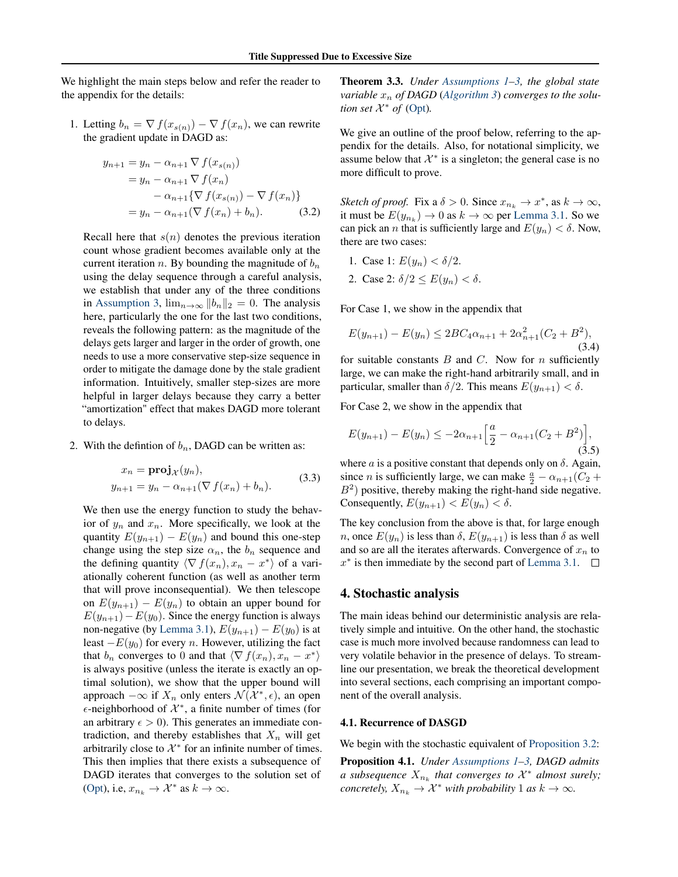<span id="page-4-0"></span>We highlight the main steps below and refer the reader to the appendix for the details:

1. Letting  $b_n = \nabla f(x_{s(n)}) - \nabla f(x_n)$ , we can rewrite the gradient update in DAGD as:

$$
y_{n+1} = y_n - \alpha_{n+1} \nabla f(x_{s(n)})
$$
  
=  $y_n - \alpha_{n+1} \nabla f(x_n)$   
 $- \alpha_{n+1} {\nabla f(x_{s(n)}) - \nabla f(x_n)}$   
=  $y_n - \alpha_{n+1} (\nabla f(x_n) + b_n).$  (3.2)

Recall here that  $s(n)$  denotes the previous iteration count whose gradient becomes available only at the current iteration n. By bounding the magnitude of  $b_n$ using the delay sequence through a careful analysis, we establish that under any of the three conditions in [Assumption 3,](#page-3-0)  $\lim_{n\to\infty} ||b_n||_2 = 0$ . The analysis here, particularly the one for the last two conditions, reveals the following pattern: as the magnitude of the delays gets larger and larger in the order of growth, one needs to use a more conservative step-size sequence in order to mitigate the damage done by the stale gradient information. Intuitively, smaller step-sizes are more helpful in larger delays because they carry a better "amortization" effect that makes DAGD more tolerant to delays.

2. With the defintion of  $b_n$ , DAGD can be written as:

$$
x_n = \mathbf{proj}_{\mathcal{X}}(y_n),
$$
  
\n
$$
y_{n+1} = y_n - \alpha_{n+1}(\nabla f(x_n) + b_n).
$$
\n(3.3)

We then use the energy function to study the behavior of  $y_n$  and  $x_n$ . More specifically, we look at the quantity  $E(y_{n+1}) - E(y_n)$  and bound this one-step change using the step size  $\alpha_n$ , the  $b_n$  sequence and the defining quantity  $\langle \nabla f(x_n), x_n - x^* \rangle$  of a variationally coherent function (as well as another term that will prove inconsequential). We then telescope on  $E(y_{n+1}) - E(y_n)$  to obtain an upper bound for  $E(y_{n+1})-E(y_0)$ . Since the energy function is always non-negative (by [Lemma 3.1\)](#page-3-0),  $E(y_{n+1}) - E(y_0)$  is at least  $-E(y_0)$  for every *n*. However, utilizing the fact that  $b_n$  converges to 0 and that  $\langle \nabla f(x_n), x_n - x^* \rangle$ is always positive (unless the iterate is exactly an optimal solution), we show that the upper bound will approach  $-\infty$  if  $X_n$  only enters  $\mathcal{N}(\mathcal{X}^*, \epsilon)$ , an open  $\epsilon$ -neighborhood of  $\mathcal{X}^*$ , a finite number of times (for an arbitrary  $\epsilon > 0$ ). This generates an immediate contradiction, and thereby establishes that  $X_n$  will get arbitrarily close to  $\mathcal{X}^*$  for an infinite number of times. This then implies that there exists a subsequence of DAGD iterates that converges to the solution set of [\(Opt\)](#page-2-0), i.e,  $x_{n_k} \to \mathcal{X}^*$  as  $k \to \infty$ .

Theorem 3.3. *Under [Assumptions 1–](#page-2-0)[3,](#page-3-0) the global state variable*  $x_n$  *of DAGD* (*[Algorithm 3](#page-3-0)*) *converges to the solution set*  $\mathcal{X}^*$  *of* [\(Opt\)](#page-2-0).

We give an outline of the proof below, referring to the appendix for the details. Also, for notational simplicity, we assume below that  $\mathcal{X}^*$  is a singleton; the general case is no more difficult to prove.

*Sketch of proof.* Fix a  $\delta > 0$ . Since  $x_{n_k} \to x^*$ , as  $k \to \infty$ , it must be  $E(y_{n_k}) \to 0$  as  $k \to \infty$  per [Lemma 3.1.](#page-3-0) So we can pick an *n* that is sufficiently large and  $E(y_n) < \delta$ . Now, there are two cases:

- 1. Case 1:  $E(y_n) < \delta/2$ .
- 2. Case 2:  $\delta/2 \leq E(y_n) < \delta$ .

For Case 1, we show in the appendix that

$$
E(y_{n+1}) - E(y_n) \le 2BC_4\alpha_{n+1} + 2\alpha_{n+1}^2(C_2 + B^2),
$$
\n(3.4)

for suitable constants  $B$  and  $C$ . Now for  $n$  sufficiently large, we can make the right-hand arbitrarily small, and in particular, smaller than  $\delta/2$ . This means  $E(y_{n+1}) < \delta$ .

For Case 2, we show in the appendix that

$$
E(y_{n+1}) - E(y_n) \le -2\alpha_{n+1} \left[ \frac{a}{2} - \alpha_{n+1} (C_2 + B^2) \right],
$$
\n(3.5)

where a is a positive constant that depends only on  $\delta$ . Again, since *n* is sufficiently large, we can make  $\frac{a}{2} - \alpha_{n+1}(C_2 +$  $B<sup>2</sup>$ ) positive, thereby making the right-hand side negative. Consequently,  $E(y_{n+1}) < E(y_n) < \delta$ .

The key conclusion from the above is that, for large enough n, once  $E(y_n)$  is less than  $\delta$ ,  $E(y_{n+1})$  is less than  $\delta$  as well and so are all the iterates afterwards. Convergence of  $x_n$  to  $x^*$  is then immediate by the second part of [Lemma 3.1.](#page-3-0)

## 4. Stochastic analysis

The main ideas behind our deterministic analysis are relatively simple and intuitive. On the other hand, the stochastic case is much more involved because randomness can lead to very volatile behavior in the presence of delays. To streamline our presentation, we break the theoretical development into several sections, each comprising an important component of the overall analysis.

### 4.1. Recurrence of DASGD

We begin with the stochastic equivalent of [Proposition 3.2:](#page-3-0)

Proposition 4.1. *Under [Assumptions 1–](#page-2-0)[3,](#page-3-0) DAGD admits a* subsequence  $X_{n_k}$  that converges to  $\mathcal{X}^*$  almost surely; *concretely,*  $X_{n_k} \to \mathcal{X}^*$  *with probability* 1 *as*  $k \to \infty$ *.*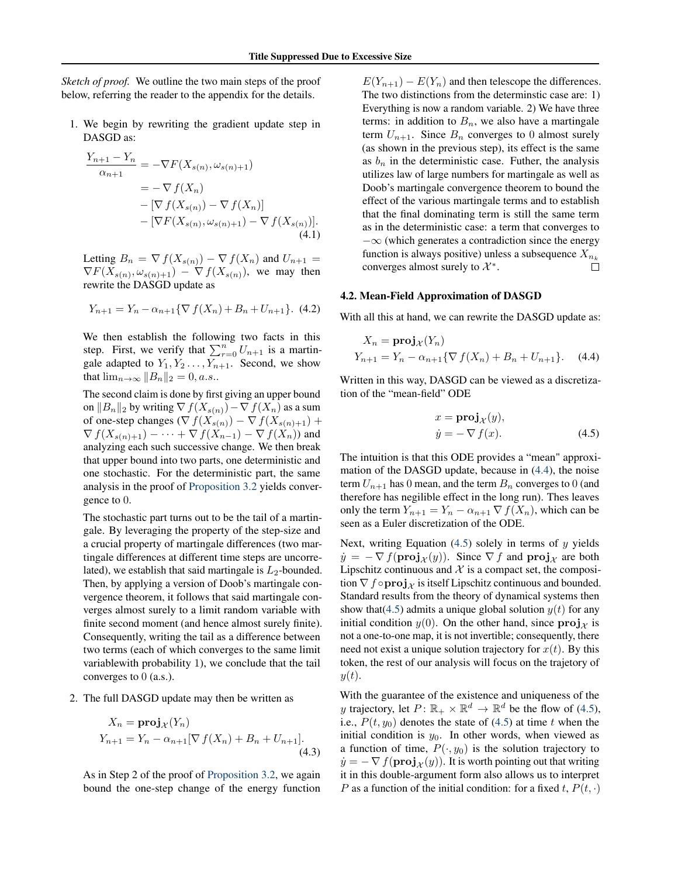<span id="page-5-0"></span>*Sketch of proof.* We outline the two main steps of the proof below, referring the reader to the appendix for the details.

1. We begin by rewriting the gradient update step in DASGD as:

$$
\frac{Y_{n+1} - Y_n}{\alpha_{n+1}} = -\nabla F(X_{s(n)}, \omega_{s(n)+1})
$$
\n
$$
= -\nabla f(X_n)
$$
\n
$$
- [\nabla f(X_{s(n)}) - \nabla f(X_n)]
$$
\n
$$
- [\nabla F(X_{s(n)}, \omega_{s(n)+1}) - \nabla f(X_{s(n)})].
$$
\n(4.1)

Letting  $B_n = \nabla f(X_{s(n)}) - \nabla f(X_n)$  and  $U_{n+1} =$  $\nabla F(X_{s(n)}, \omega_{s(n)+1}) - \nabla f(X_{s(n)})$ , we may then rewrite the DASGD update as

$$
Y_{n+1} = Y_n - \alpha_{n+1} \{ \nabla f(X_n) + B_n + U_{n+1} \}.
$$
 (4.2)

We then establish the following two facts in this step. First, we verify that  $\sum_{r=0}^{n} U_{n+1}$  is a martingale adapted to  $Y_1, Y_2, \ldots, Y_{n+1}$ . Second, we show that  $\lim_{n\to\infty}||B_n||_2 = 0, a.s..$ 

The second claim is done by first giving an upper bound on  $||B_n||_2$  by writing  $\nabla f(X_{s(n)}) - \nabla f(X_n)$  as a sum of one-step changes ( $\nabla f(X_{s(n)}) - \nabla f(X_{s(n)+1}) +$  $\nabla f(X_{s(n)+1}) - \cdots + \nabla f(X_{n-1}) - \nabla f(X_n)$  and analyzing each such successive change. We then break that upper bound into two parts, one deterministic and one stochastic. For the deterministic part, the same analysis in the proof of [Proposition 3.2](#page-3-0) yields convergence to 0.

The stochastic part turns out to be the tail of a martingale. By leveraging the property of the step-size and a crucial property of martingale differences (two martingale differences at different time steps are uncorrelated), we establish that said martingale is  $L_2$ -bounded. Then, by applying a version of Doob's martingale convergence theorem, it follows that said martingale converges almost surely to a limit random variable with finite second moment (and hence almost surely finite). Consequently, writing the tail as a difference between two terms (each of which converges to the same limit variablewith probability 1), we conclude that the tail converges to 0 (a.s.).

2. The full DASGD update may then be written as

$$
X_n = \mathbf{proj}_{\mathcal{X}}(Y_n)
$$
  
 
$$
Y_{n+1} = Y_n - \alpha_{n+1} [\nabla f(X_n) + B_n + U_{n+1}].
$$
  
(4.3)

As in Step 2 of the proof of [Proposition 3.2,](#page-3-0) we again bound the one-step change of the energy function

 $E(Y_{n+1}) - E(Y_n)$  and then telescope the differences. The two distinctions from the determinstic case are: 1) Everything is now a random variable. 2) We have three terms: in addition to  $B_n$ , we also have a martingale term  $U_{n+1}$ . Since  $B_n$  converges to 0 almost surely (as shown in the previous step), its effect is the same as  $b_n$  in the deterministic case. Futher, the analysis utilizes law of large numbers for martingale as well as Doob's martingale convergence theorem to bound the effect of the various martingale terms and to establish that the final dominating term is still the same term as in the deterministic case: a term that converges to  $-\infty$  (which generates a contradiction since the energy function is always positive) unless a subsequence  $X_{n_k}$ converges almost surely to  $\mathcal{X}^*$ .  $\Box$ 

#### 4.2. Mean-Field Approximation of DASGD

With all this at hand, we can rewrite the DASGD update as:

$$
X_n = \mathbf{proj}_{\mathcal{X}}(Y_n)
$$
  
 
$$
Y_{n+1} = Y_n - \alpha_{n+1} \{ \nabla f(X_n) + B_n + U_{n+1} \}. \quad (4.4)
$$

Written in this way, DASGD can be viewed as a discretization of the "mean-field" ODE

$$
x = \mathbf{proj}_{\mathcal{X}}(y),
$$
  

$$
\dot{y} = -\nabla f(x).
$$
 (4.5)

The intuition is that this ODE provides a "mean" approximation of the DASGD update, because in (4.4), the noise term  $U_{n+1}$  has 0 mean, and the term  $B_n$  converges to 0 (and therefore has negilible effect in the long run). Thes leaves only the term  $Y_{n+1} = Y_n - \alpha_{n+1} \nabla f(X_n)$ , which can be seen as a Euler discretization of the ODE.

Next, writing Equation  $(4.5)$  solely in terms of y yields  $\dot{y} = -\nabla f(\mathbf{proj}_{\mathcal{X}}(y))$ . Since  $\nabla f$  and  $\mathbf{proj}_{\mathcal{X}}$  are both Lipschitz continuous and  $X$  is a compact set, the composition  $\nabla f \circ \mathbf{proj}_{\mathcal{X}}$  is itself Lipschitz continuous and bounded. Standard results from the theory of dynamical systems then show that  $(4.5)$  admits a unique global solution  $y(t)$  for any initial condition  $y(0)$ . On the other hand, since  $\mathbf{proj}_{\mathcal{X}}$  is not a one-to-one map, it is not invertible; consequently, there need not exist a unique solution trajectory for  $x(t)$ . By this token, the rest of our analysis will focus on the trajetory of  $y(t)$ .

With the guarantee of the existence and uniqueness of the y trajectory, let  $P: \mathbb{R}_+ \times \mathbb{R}^d \to \mathbb{R}^d$  be the flow of (4.5), i.e.,  $P(t, y_0)$  denotes the state of (4.5) at time t when the initial condition is  $y_0$ . In other words, when viewed as a function of time,  $P(\cdot, y_0)$  is the solution trajectory to  $\dot{y} = -\nabla f(\mathbf{proj}_{\mathcal{X}}(y))$ . It is worth pointing out that writing it in this double-argument form also allows us to interpret P as a function of the initial condition: for a fixed t,  $P(t, \cdot)$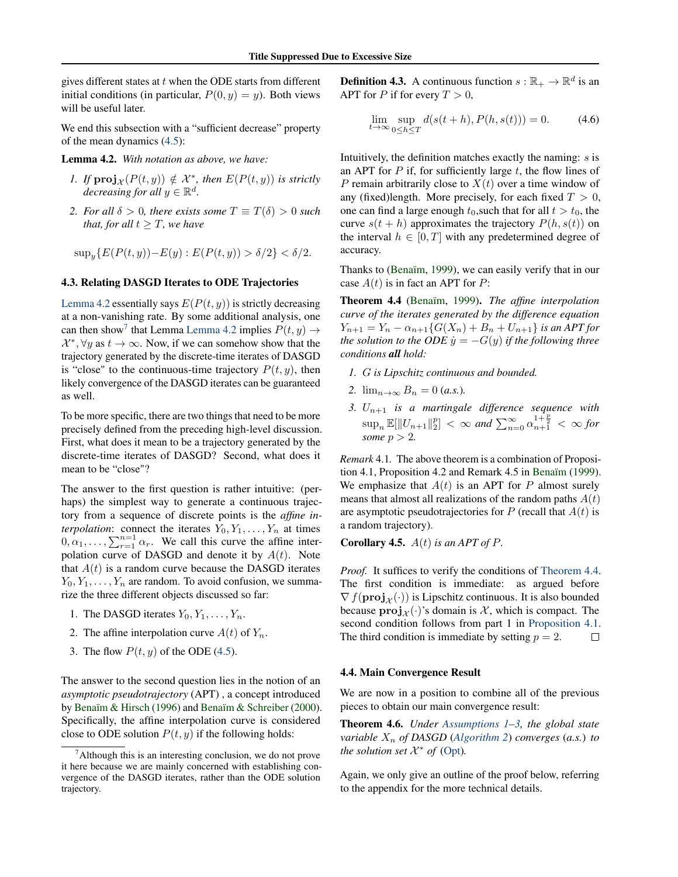<span id="page-6-0"></span>gives different states at  $t$  when the ODE starts from different initial conditions (in particular,  $P(0, y) = y$ ). Both views will be useful later.

We end this subsection with a "sufficient decrease" property of the mean dynamics [\(4.5\)](#page-5-0):

Lemma 4.2. *With notation as above, we have:*

- *1.* If  $\text{proj}_{\mathcal{X}}(P(t, y)) \notin \mathcal{X}^*$ , then  $E(P(t, y))$  is strictly *decreasing for all*  $y \in \mathbb{R}^d$ .
- *2. For all*  $\delta > 0$ *, there exists some*  $T \equiv T(\delta) > 0$  *such that, for all*  $t \geq T$ *, we have*

$$
\sup_y \{ E(P(t, y)) - E(y) : E(P(t, y)) > \delta/2 \} < \delta/2.
$$

#### 4.3. Relating DASGD Iterates to ODE Trajectories

Lemma 4.2 essentially says  $E(P(t, y))$  is strictly decreasing at a non-vanishing rate. By some additional analysis, one can then show<sup>7</sup> that Lemma Lemma 4.2 implies  $P(t, y) \rightarrow$  $\mathcal{X}^*, \forall y \text{ as } t \to \infty$ . Now, if we can somehow show that the trajectory generated by the discrete-time iterates of DASGD is "close" to the continuous-time trajectory  $P(t, y)$ , then likely convergence of the DASGD iterates can be guaranteed as well.

To be more specific, there are two things that need to be more precisely defined from the preceding high-level discussion. First, what does it mean to be a trajectory generated by the discrete-time iterates of DASGD? Second, what does it mean to be "close"?

The answer to the first question is rather intuitive: (perhaps) the simplest way to generate a continuous trajectory from a sequence of discrete points is the *affine interpolation*: connect the iterates  $Y_0, Y_1, \ldots, Y_n$  at times  $0, \alpha_1, \ldots, \sum_{r=1}^{n=1} \alpha_r$ . We call this curve the affine interpolation curve of DASGD and denote it by  $A(t)$ . Note that  $A(t)$  is a random curve because the DASGD iterates  $Y_0, Y_1, \ldots, Y_n$  are random. To avoid confusion, we summarize the three different objects discussed so far:

- 1. The DASGD iterates  $Y_0, Y_1, \ldots, Y_n$ .
- 2. The affine interpolation curve  $A(t)$  of  $Y_n$ .
- 3. The flow  $P(t, y)$  of the ODE [\(4.5\)](#page-5-0).

The answer to the second question lies in the notion of an *asymptotic pseudotrajectory* (APT) , a concept introduced by [Benaïm & Hirsch](#page-8-0) [\(1996\)](#page-8-0) and [Benaïm & Schreiber](#page-8-0) [\(2000\)](#page-8-0). Specifically, the affine interpolation curve is considered close to ODE solution  $P(t, y)$  if the following holds:

**Definition 4.3.** A continuous function  $s : \mathbb{R}_+ \to \mathbb{R}^d$  is an APT for P if for every  $T > 0$ ,

$$
\lim_{t \to \infty} \sup_{0 \le h \le T} d(s(t+h), P(h, s(t))) = 0.
$$
 (4.6)

Intuitively, the definition matches exactly the naming:  $s$  is an APT for  $P$  if, for sufficiently large  $t$ , the flow lines of P remain arbitrarily close to  $X(t)$  over a time window of any (fixed)length. More precisely, for each fixed  $T > 0$ , one can find a large enough  $t_0$ , such that for all  $t > t_0$ , the curve  $s(t + h)$  approximates the trajectory  $P(h, s(t))$  on the interval  $h \in [0, T]$  with any predetermined degree of accuracy.

Thanks to [\(Benaïm,](#page-8-0) [1999\)](#page-8-0), we can easily verify that in our case  $A(t)$  is in fact an APT for P:

Theorem 4.4 [\(Benaïm,](#page-8-0) [1999\)](#page-8-0). *The affine interpolation curve of the iterates generated by the difference equation*  $Y_{n+1} = Y_n - \alpha_{n+1} \{ G(X_n) + B_n + U_{n+1} \}$  *is an APT for the solution to the ODE*  $\dot{y} = -G(y)$  *if the following three conditions all hold:*

- *1.* G *is Lipschitz continuous and bounded.*
- 2.  $\lim_{n\to\infty} B_n = 0$  (*a.s.*).
- *3.* Un+1 *is a martingale difference sequence with*  $\sup_n \mathbb{E}[\|U_{n+1}\|_2^p] < \infty$  and  $\sum_{n=0}^{\infty} \alpha_{n+1}^{\frac{1+p}{2}} < \infty$  for *some*  $p > 2$ *.*

*Remark* 4.1*.* The above theorem is a combination of Proposition 4.1, Proposition 4.2 and Remark 4.5 in [Benaïm](#page-8-0) [\(1999\)](#page-8-0). We emphasize that  $A(t)$  is an APT for P almost surely means that almost all realizations of the random paths  $A(t)$ are asymptotic pseudotrajectories for  $P$  (recall that  $A(t)$  is a random trajectory).

**Corollary 4.5.**  $A(t)$  *is an APT of P.* 

*Proof.* It suffices to verify the conditions of Theorem 4.4. The first condition is immediate: as argued before  $\nabla f(\mathbf{proj}_{\mathcal{X}}(\cdot))$  is Lipschitz continuous. It is also bounded because  $proj_{\mathcal{X}}(\cdot)$ 's domain is X, which is compact. The second condition follows from part 1 in [Proposition 4.1.](#page-4-0) The third condition is immediate by setting  $p = 2$ .  $\Box$ 

## 4.4. Main Convergence Result

We are now in a position to combine all of the previous pieces to obtain our main convergence result:

Theorem 4.6. *Under [Assumptions 1–](#page-2-0)[3,](#page-3-0) the global state variable*  $X_n$  *of DASGD* (*[Algorithm 2](#page-2-0)*) *converges* (*a.s.*) *to the solution set*  $\mathcal{X}^*$  *of* [\(Opt\)](#page-2-0).

Again, we only give an outline of the proof below, referring to the appendix for the more technical details.

<sup>7</sup>Although this is an interesting conclusion, we do not prove it here because we are mainly concerned with establishing convergence of the DASGD iterates, rather than the ODE solution trajectory.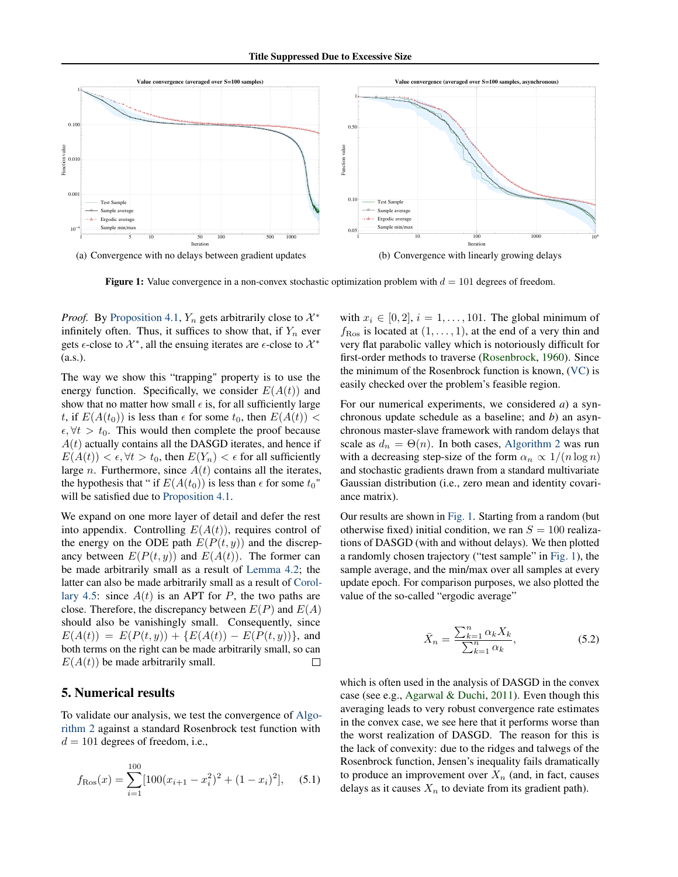

**Figure 1:** Value convergence in a non-convex stochastic optimization problem with  $d = 101$  degrees of freedom.

*Proof.* By Proposition 4.1,  $Y_n$  gets arbitrarily close to  $\mathcal{X}^*$ infinitely often. Thus, it suffices to show that, if  $Y_n$  ever gets  $\epsilon$ -close to  $\mathcal{X}^*$ , all the ensuing iterates are  $\epsilon$ -close to  $\mathcal{X}^*$  $(a.s.).$ 

The way we show this "trapping" property is to use the energy function. Specifically, we consider  $E(A(t))$  and show that no matter how small  $\epsilon$  is, for all sufficiently large t, if  $E(A(t_0))$  is less than  $\epsilon$  for some  $t_0$ , then  $E(A(t))$  <  $\epsilon, \forall t > t_0$ . This would then complete the proof because  $A(t)$  actually contains all the DASGD iterates, and hence if  $E(A(t)) < \epsilon, \forall t > t_0$ , then  $E(Y_n) < \epsilon$  for all sufficiently large *n*. Furthermore, since  $A(t)$  contains all the iterates, the hypothesis that " if  $E(A(t_0))$  is less than  $\epsilon$  for some  $t_0$ " will be satisfied due to Proposition 4.1.

We expand on one more layer of detail and defer the rest into appendix. Controlling  $E(A(t))$ , requires control of the energy on the ODE path  $E(P(t, y))$  and the discrepancy between  $E(P(t, y))$  and  $E(A(t))$ . The former can be made arbitrarily small as a result of Lemma 4.2; the latter can also be made arbitrarily small as a result of Corollary 4.5: since  $A(t)$  is an APT for P, the two paths are close. Therefore, the discrepancy between  $E(P)$  and  $E(A)$ should also be vanishingly small. Consequently, since  $E(A(t)) = E(P(t, y)) + {E(A(t)) - E(P(t, y))}$ , and both terms on the right can be made arbitrarily small, so can  $E(A(t))$  be made arbitrarily small.  $\Box$ 

# 5. Numerical results

To validate our analysis, we test the convergence of Algorithm 2 against a standard Rosenbrock test function with  $d = 101$  degrees of freedom, i.e.,

$$
f_{\text{Ros}}(x) = \sum_{i=1}^{100} [100(x_{i+1} - x_i^2)^2 + (1 - x_i)^2], \quad (5.1)
$$

with  $x_i \in [0,2], i = 1, \ldots, 101$ . The global minimum of  $f_{\rm Ros}$  is located at  $(1, \ldots, 1)$ , at the end of a very thin and very flat parabolic valley which is notoriously difficult for first-order methods to traverse (Rosenbrock, 1960). Since the minimum of the Rosenbrock function is known, (VC) is easily checked over the problem's feasible region.

For our numerical experiments, we considered  $a$ ) a synchronous update schedule as a baseline; and  $b$ ) an asynchronous master-slave framework with random delays that scale as  $d_n = \Theta(n)$ . In both cases, Algorithm 2 was run with a decreasing step-size of the form  $\alpha_n \propto 1/(n \log n)$ and stochastic gradients drawn from a standard multivariate Gaussian distribution (i.e., zero mean and identity covariance matrix).

Our results are shown in Fig. 1. Starting from a random (but otherwise fixed) initial condition, we ran  $S = 100$  realizations of DASGD (with and without delays). We then plotted a randomly chosen trajectory ("test sample" in Fig. 1), the sample average, and the min/max over all samples at every update epoch. For comparison purposes, we also plotted the value of the so-called "ergodic average"

$$
\bar{X}_n = \frac{\sum_{k=1}^n \alpha_k X_k}{\sum_{k=1}^n \alpha_k},\tag{5.2}
$$

which is often used in the analysis of DASGD in the convex case (see e.g., Agarwal & Duchi, 2011). Even though this averaging leads to very robust convergence rate estimates in the convex case, we see here that it performs worse than the worst realization of DASGD. The reason for this is the lack of convexity: due to the ridges and talwegs of the Rosenbrock function, Jensen's inequality fails dramatically to produce an improvement over  $X_n$  (and, in fact, causes delays as it causes  $X_n$  to deviate from its gradient path).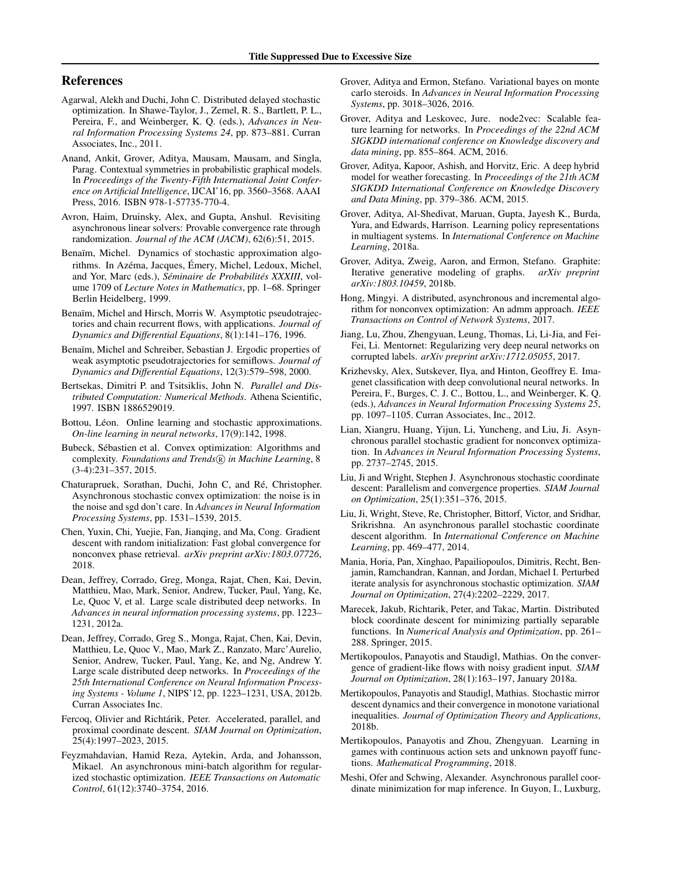## <span id="page-8-0"></span>References

- Agarwal, Alekh and Duchi, John C. Distributed delayed stochastic optimization. In Shawe-Taylor, J., Zemel, R. S., Bartlett, P. L., Pereira, F., and Weinberger, K. Q. (eds.), *Advances in Neural Information Processing Systems 24*, pp. 873–881. Curran Associates, Inc., 2011.
- Anand, Ankit, Grover, Aditya, Mausam, Mausam, and Singla, Parag. Contextual symmetries in probabilistic graphical models. In *Proceedings of the Twenty-Fifth International Joint Conference on Artificial Intelligence*, IJCAI'16, pp. 3560–3568. AAAI Press, 2016. ISBN 978-1-57735-770-4.
- Avron, Haim, Druinsky, Alex, and Gupta, Anshul. Revisiting asynchronous linear solvers: Provable convergence rate through randomization. *Journal of the ACM (JACM)*, 62(6):51, 2015.
- Benaïm, Michel. Dynamics of stochastic approximation algorithms. In Azéma, Jacques, Émery, Michel, Ledoux, Michel, and Yor, Marc (eds.), *Séminaire de Probabilités XXXIII*, volume 1709 of *Lecture Notes in Mathematics*, pp. 1–68. Springer Berlin Heidelberg, 1999.
- Benaïm, Michel and Hirsch, Morris W. Asymptotic pseudotrajectories and chain recurrent flows, with applications. *Journal of Dynamics and Differential Equations*, 8(1):141–176, 1996.
- Benaïm, Michel and Schreiber, Sebastian J. Ergodic properties of weak asymptotic pseudotrajectories for semiflows. *Journal of Dynamics and Differential Equations*, 12(3):579–598, 2000.
- Bertsekas, Dimitri P. and Tsitsiklis, John N. *Parallel and Distributed Computation: Numerical Methods*. Athena Scientific, 1997. ISBN 1886529019.
- Bottou, Léon. Online learning and stochastic approximations. *On-line learning in neural networks*, 17(9):142, 1998.
- Bubeck, Sébastien et al. Convex optimization: Algorithms and complexity. *Foundations and Trends*( $\widehat{R}$ ) in Machine Learning, 8 (3-4):231–357, 2015.
- Chaturapruek, Sorathan, Duchi, John C, and Ré, Christopher. Asynchronous stochastic convex optimization: the noise is in the noise and sgd don't care. In *Advances in Neural Information Processing Systems*, pp. 1531–1539, 2015.
- Chen, Yuxin, Chi, Yuejie, Fan, Jianqing, and Ma, Cong. Gradient descent with random initialization: Fast global convergence for nonconvex phase retrieval. *arXiv preprint arXiv:1803.07726*, 2018.
- Dean, Jeffrey, Corrado, Greg, Monga, Rajat, Chen, Kai, Devin, Matthieu, Mao, Mark, Senior, Andrew, Tucker, Paul, Yang, Ke, Le, Quoc V, et al. Large scale distributed deep networks. In *Advances in neural information processing systems*, pp. 1223– 1231, 2012a.
- Dean, Jeffrey, Corrado, Greg S., Monga, Rajat, Chen, Kai, Devin, Matthieu, Le, Quoc V., Mao, Mark Z., Ranzato, Marc'Aurelio, Senior, Andrew, Tucker, Paul, Yang, Ke, and Ng, Andrew Y. Large scale distributed deep networks. In *Proceedings of the 25th International Conference on Neural Information Processing Systems - Volume 1*, NIPS'12, pp. 1223–1231, USA, 2012b. Curran Associates Inc.
- Fercoq, Olivier and Richtárik, Peter. Accelerated, parallel, and proximal coordinate descent. *SIAM Journal on Optimization*, 25(4):1997–2023, 2015.
- Feyzmahdavian, Hamid Reza, Aytekin, Arda, and Johansson, Mikael. An asynchronous mini-batch algorithm for regularized stochastic optimization. *IEEE Transactions on Automatic Control*, 61(12):3740–3754, 2016.
- Grover, Aditya and Ermon, Stefano. Variational bayes on monte carlo steroids. In *Advances in Neural Information Processing Systems*, pp. 3018–3026, 2016.
- Grover, Aditya and Leskovec, Jure. node2vec: Scalable feature learning for networks. In *Proceedings of the 22nd ACM SIGKDD international conference on Knowledge discovery and data mining*, pp. 855–864. ACM, 2016.
- Grover, Aditya, Kapoor, Ashish, and Horvitz, Eric. A deep hybrid model for weather forecasting. In *Proceedings of the 21th ACM SIGKDD International Conference on Knowledge Discovery and Data Mining*, pp. 379–386. ACM, 2015.
- Grover, Aditya, Al-Shedivat, Maruan, Gupta, Jayesh K., Burda, Yura, and Edwards, Harrison. Learning policy representations in multiagent systems. In *International Conference on Machine Learning*, 2018a.
- Grover, Aditya, Zweig, Aaron, and Ermon, Stefano. Graphite: Iterative generative modeling of graphs. *arXiv preprint arXiv:1803.10459*, 2018b.
- Hong, Mingyi. A distributed, asynchronous and incremental algorithm for nonconvex optimization: An admm approach. *IEEE Transactions on Control of Network Systems*, 2017.
- Jiang, Lu, Zhou, Zhengyuan, Leung, Thomas, Li, Li-Jia, and Fei-Fei, Li. Mentornet: Regularizing very deep neural networks on corrupted labels. *arXiv preprint arXiv:1712.05055*, 2017.
- Krizhevsky, Alex, Sutskever, Ilya, and Hinton, Geoffrey E. Imagenet classification with deep convolutional neural networks. In Pereira, F., Burges, C. J. C., Bottou, L., and Weinberger, K. Q. (eds.), *Advances in Neural Information Processing Systems 25*, pp. 1097–1105. Curran Associates, Inc., 2012.
- Lian, Xiangru, Huang, Yijun, Li, Yuncheng, and Liu, Ji. Asynchronous parallel stochastic gradient for nonconvex optimization. In *Advances in Neural Information Processing Systems*, pp. 2737–2745, 2015.
- Liu, Ji and Wright, Stephen J. Asynchronous stochastic coordinate descent: Parallelism and convergence properties. *SIAM Journal on Optimization*, 25(1):351–376, 2015.
- Liu, Ji, Wright, Steve, Re, Christopher, Bittorf, Victor, and Sridhar, Srikrishna. An asynchronous parallel stochastic coordinate descent algorithm. In *International Conference on Machine Learning*, pp. 469–477, 2014.
- Mania, Horia, Pan, Xinghao, Papailiopoulos, Dimitris, Recht, Benjamin, Ramchandran, Kannan, and Jordan, Michael I. Perturbed iterate analysis for asynchronous stochastic optimization. *SIAM Journal on Optimization*, 27(4):2202–2229, 2017.
- Marecek, Jakub, Richtarik, Peter, and Takac, Martin. Distributed block coordinate descent for minimizing partially separable functions. In *Numerical Analysis and Optimization*, pp. 261– 288. Springer, 2015.
- Mertikopoulos, Panayotis and Staudigl, Mathias. On the convergence of gradient-like flows with noisy gradient input. *SIAM Journal on Optimization*, 28(1):163–197, January 2018a.
- Mertikopoulos, Panayotis and Staudigl, Mathias. Stochastic mirror descent dynamics and their convergence in monotone variational inequalities. *Journal of Optimization Theory and Applications*, 2018b.
- Mertikopoulos, Panayotis and Zhou, Zhengyuan. Learning in games with continuous action sets and unknown payoff functions. *Mathematical Programming*, 2018.
- Meshi, Ofer and Schwing, Alexander. Asynchronous parallel coordinate minimization for map inference. In Guyon, I., Luxburg,